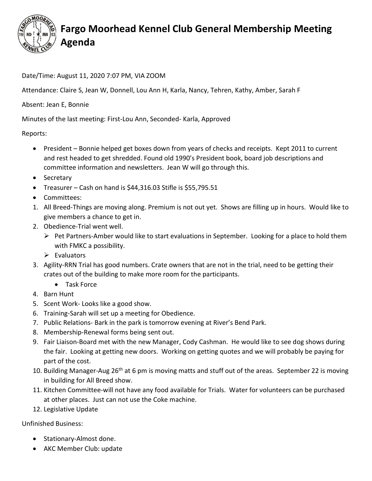

## Fargo Moorhead Kennel Club General Membership Meeting Agenda

Date/Time: August 11, 2020 7:07 PM, VIA ZOOM

Attendance: Claire S, Jean W, Donnell, Lou Ann H, Karla, Nancy, Tehren, Kathy, Amber, Sarah F

Absent: Jean E, Bonnie

Minutes of the last meeting: First-Lou Ann, Seconded- Karla, Approved

Reports:

- President Bonnie helped get boxes down from years of checks and receipts. Kept 2011 to current and rest headed to get shredded. Found old 1990's President book, board job descriptions and committee information and newsletters. Jean W will go through this.
- Secretary
- $\bullet$  Treasurer Cash on hand is \$44,316.03 Stifle is \$55,795.51
- Committees:
- 1. All Breed-Things are moving along. Premium is not out yet. Shows are filling up in hours. Would like to give members a chance to get in.
- 2. Obedience-Trial went well.
	- $\triangleright$  Pet Partners-Amber would like to start evaluations in September. Looking for a place to hold them with FMKC a possibility.
	- $\triangleright$  Evaluators
- 3. Agility-RRN Trial has good numbers. Crate owners that are not in the trial, need to be getting their crates out of the building to make more room for the participants.
	- Task Force
- 4. Barn Hunt
- 5. Scent Work- Looks like a good show.
- 6. Training-Sarah will set up a meeting for Obedience.
- 7. Public Relations- Bark in the park is tomorrow evening at River's Bend Park.
- 8. Membership-Renewal forms being sent out.
- 9. Fair Liaison-Board met with the new Manager, Cody Cashman. He would like to see dog shows during the fair. Looking at getting new doors. Working on getting quotes and we will probably be paying for part of the cost.
- 10. Building Manager-Aug 26<sup>th</sup> at 6 pm is moving matts and stuff out of the areas. September 22 is moving in building for All Breed show.
- 11. Kitchen Committee-will not have any food available for Trials. Water for volunteers can be purchased at other places. Just can not use the Coke machine.
- 12. Legislative Update

Unfinished Business:

- Stationary-Almost done.
- AKC Member Club: update